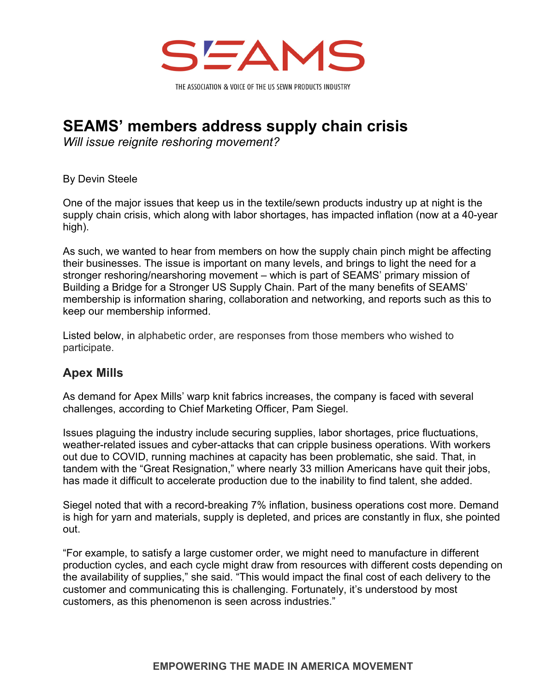

**SEAMS' members address supply chain crisis** 

*Will issue reignite reshoring movement?* 

By Devin Steele

One of the major issues that keep us in the textile/sewn products industry up at night is the supply chain crisis, which along with labor shortages, has impacted inflation (now at a 40-year high).

As such, we wanted to hear from members on how the supply chain pinch might be affecting their businesses. The issue is important on many levels, and brings to light the need for a stronger reshoring/nearshoring movement – which is part of SEAMS' primary mission of Building a Bridge for a Stronger US Supply Chain. Part of the many benefits of SEAMS' membership is information sharing, collaboration and networking, and reports such as this to keep our membership informed.

Listed below, in alphabetic order, are responses from those members who wished to participate.

## **Apex Mills**

As demand for Apex Mills' warp knit fabrics increases, the company is faced with several challenges, according to Chief Marketing Officer, Pam Siegel.

Issues plaguing the industry include securing supplies, labor shortages, price fluctuations, weather-related issues and cyber-attacks that can cripple business operations. With workers out due to COVID, running machines at capacity has been problematic, she said. That, in tandem with the "Great Resignation," where nearly 33 million Americans have quit their jobs, has made it difficult to accelerate production due to the inability to find talent, she added.

Siegel noted that with a record-breaking 7% inflation, business operations cost more. Demand is high for yarn and materials, supply is depleted, and prices are constantly in flux, she pointed out.

"For example, to satisfy a large customer order, we might need to manufacture in different production cycles, and each cycle might draw from resources with different costs depending on the availability of supplies," she said. "This would impact the final cost of each delivery to the customer and communicating this is challenging. Fortunately, it's understood by most customers, as this phenomenon is seen across industries."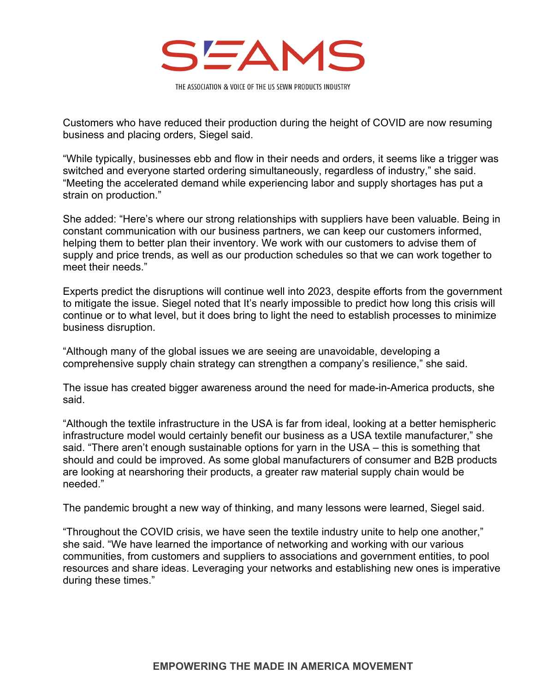

Customers who have reduced their production during the height of COVID are now resuming business and placing orders, Siegel said.

"While typically, businesses ebb and flow in their needs and orders, it seems like a trigger was switched and everyone started ordering simultaneously, regardless of industry," she said. "Meeting the accelerated demand while experiencing labor and supply shortages has put a strain on production."

She added: "Here's where our strong relationships with suppliers have been valuable. Being in constant communication with our business partners, we can keep our customers informed, helping them to better plan their inventory. We work with our customers to advise them of supply and price trends, as well as our production schedules so that we can work together to meet their needs."

Experts predict the disruptions will continue well into 2023, despite efforts from the government to mitigate the issue. Siegel noted that It's nearly impossible to predict how long this crisis will continue or to what level, but it does bring to light the need to establish processes to minimize business disruption.

"Although many of the global issues we are seeing are unavoidable, developing a comprehensive supply chain strategy can strengthen a company's resilience," she said.

The issue has created bigger awareness around the need for made-in-America products, she said.

"Although the textile infrastructure in the USA is far from ideal, looking at a better hemispheric infrastructure model would certainly benefit our business as a USA textile manufacturer," she said. "There aren't enough sustainable options for yarn in the USA – this is something that should and could be improved. As some global manufacturers of consumer and B2B products are looking at nearshoring their products, a greater raw material supply chain would be needed."

The pandemic brought a new way of thinking, and many lessons were learned, Siegel said.

"Throughout the COVID crisis, we have seen the textile industry unite to help one another," she said. "We have learned the importance of networking and working with our various communities, from customers and suppliers to associations and government entities, to pool resources and share ideas. Leveraging your networks and establishing new ones is imperative during these times."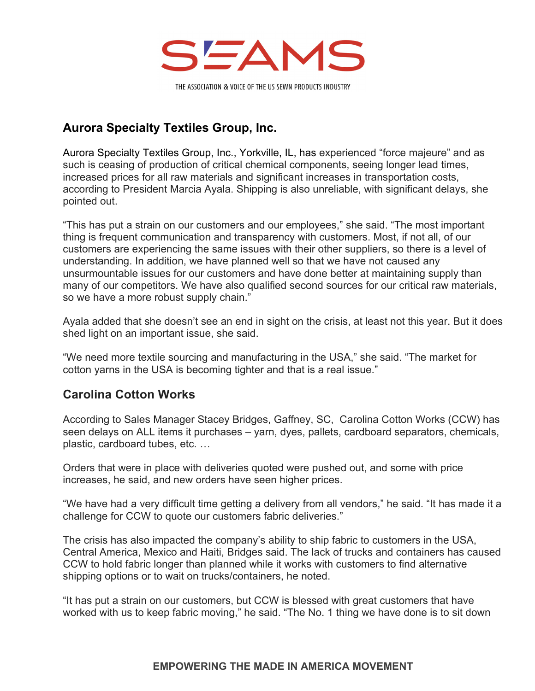

# **Aurora Specialty Textiles Group, Inc.**

Aurora Specialty Textiles Group, Inc., Yorkville, IL, has experienced "force majeure" and as such is ceasing of production of critical chemical components, seeing longer lead times, increased prices for all raw materials and significant increases in transportation costs, according to President Marcia Ayala. Shipping is also unreliable, with significant delays, she pointed out.

"This has put a strain on our customers and our employees," she said. "The most important thing is frequent communication and transparency with customers. Most, if not all, of our customers are experiencing the same issues with their other suppliers, so there is a level of understanding. In addition, we have planned well so that we have not caused any unsurmountable issues for our customers and have done better at maintaining supply than many of our competitors. We have also qualified second sources for our critical raw materials, so we have a more robust supply chain."

Ayala added that she doesn't see an end in sight on the crisis, at least not this year. But it does shed light on an important issue, she said.

"We need more textile sourcing and manufacturing in the USA," she said. "The market for cotton yarns in the USA is becoming tighter and that is a real issue."

# **Carolina Cotton Works**

According to Sales Manager Stacey Bridges, Gaffney, SC, Carolina Cotton Works (CCW) has seen delays on ALL items it purchases – yarn, dyes, pallets, cardboard separators, chemicals, plastic, cardboard tubes, etc. …

Orders that were in place with deliveries quoted were pushed out, and some with price increases, he said, and new orders have seen higher prices.

"We have had a very difficult time getting a delivery from all vendors," he said. "It has made it a challenge for CCW to quote our customers fabric deliveries."

The crisis has also impacted the company's ability to ship fabric to customers in the USA, Central America, Mexico and Haiti, Bridges said. The lack of trucks and containers has caused CCW to hold fabric longer than planned while it works with customers to find alternative shipping options or to wait on trucks/containers, he noted.

"It has put a strain on our customers, but CCW is blessed with great customers that have worked with us to keep fabric moving," he said. "The No. 1 thing we have done is to sit down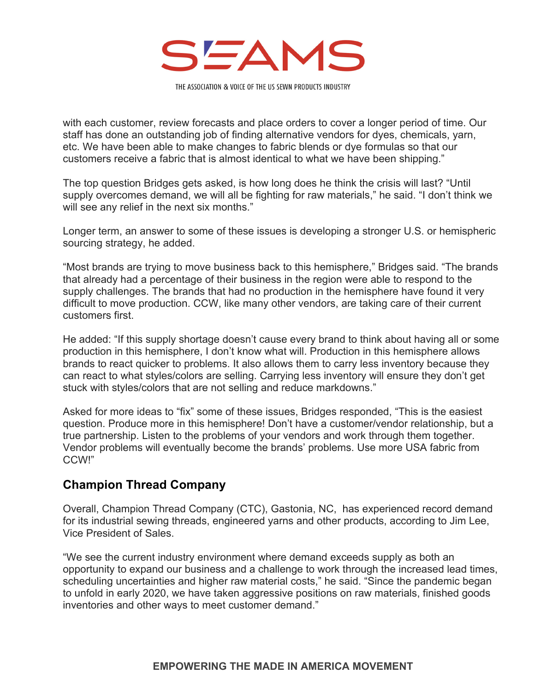

with each customer, review forecasts and place orders to cover a longer period of time. Our staff has done an outstanding job of finding alternative vendors for dyes, chemicals, yarn, etc. We have been able to make changes to fabric blends or dye formulas so that our customers receive a fabric that is almost identical to what we have been shipping."

The top question Bridges gets asked, is how long does he think the crisis will last? "Until supply overcomes demand, we will all be fighting for raw materials," he said. "I don't think we will see any relief in the next six months."

Longer term, an answer to some of these issues is developing a stronger U.S. or hemispheric sourcing strategy, he added.

"Most brands are trying to move business back to this hemisphere," Bridges said. "The brands that already had a percentage of their business in the region were able to respond to the supply challenges. The brands that had no production in the hemisphere have found it very difficult to move production. CCW, like many other vendors, are taking care of their current customers first.

He added: "If this supply shortage doesn't cause every brand to think about having all or some production in this hemisphere, I don't know what will. Production in this hemisphere allows brands to react quicker to problems. It also allows them to carry less inventory because they can react to what styles/colors are selling. Carrying less inventory will ensure they don't get stuck with styles/colors that are not selling and reduce markdowns."

Asked for more ideas to "fix" some of these issues, Bridges responded, "This is the easiest question. Produce more in this hemisphere! Don't have a customer/vendor relationship, but a true partnership. Listen to the problems of your vendors and work through them together. Vendor problems will eventually become the brands' problems. Use more USA fabric from CCW!"

### **Champion Thread Company**

Overall, Champion Thread Company (CTC), Gastonia, NC, has experienced record demand for its industrial sewing threads, engineered yarns and other products, according to Jim Lee, Vice President of Sales.

"We see the current industry environment where demand exceeds supply as both an opportunity to expand our business and a challenge to work through the increased lead times, scheduling uncertainties and higher raw material costs," he said. "Since the pandemic began to unfold in early 2020, we have taken aggressive positions on raw materials, finished goods inventories and other ways to meet customer demand."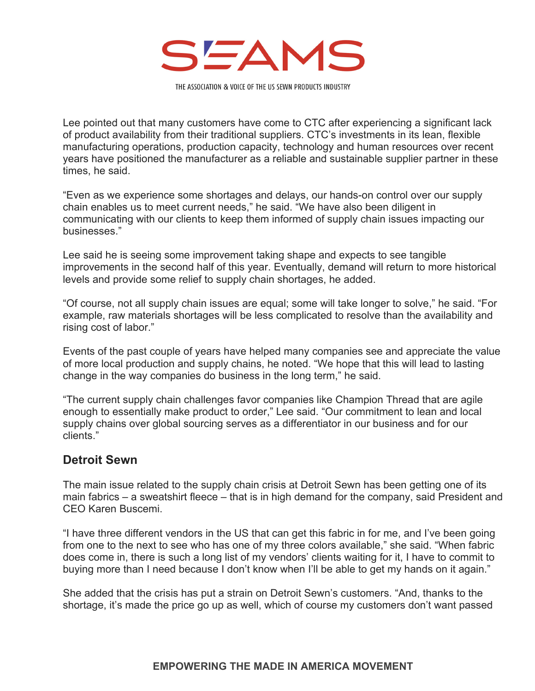

Lee pointed out that many customers have come to CTC after experiencing a significant lack of product availability from their traditional suppliers. CTC's investments in its lean, flexible manufacturing operations, production capacity, technology and human resources over recent years have positioned the manufacturer as a reliable and sustainable supplier partner in these times, he said.

"Even as we experience some shortages and delays, our hands-on control over our supply chain enables us to meet current needs," he said. "We have also been diligent in communicating with our clients to keep them informed of supply chain issues impacting our businesses."

Lee said he is seeing some improvement taking shape and expects to see tangible improvements in the second half of this year. Eventually, demand will return to more historical levels and provide some relief to supply chain shortages, he added.

"Of course, not all supply chain issues are equal; some will take longer to solve," he said. "For example, raw materials shortages will be less complicated to resolve than the availability and rising cost of labor."

Events of the past couple of years have helped many companies see and appreciate the value of more local production and supply chains, he noted. "We hope that this will lead to lasting change in the way companies do business in the long term," he said.

"The current supply chain challenges favor companies like Champion Thread that are agile enough to essentially make product to order," Lee said. "Our commitment to lean and local supply chains over global sourcing serves as a differentiator in our business and for our clients."

### **Detroit Sewn**

The main issue related to the supply chain crisis at Detroit Sewn has been getting one of its main fabrics – a sweatshirt fleece – that is in high demand for the company, said President and CEO Karen Buscemi.

"I have three different vendors in the US that can get this fabric in for me, and I've been going from one to the next to see who has one of my three colors available," she said. "When fabric does come in, there is such a long list of my vendors' clients waiting for it, I have to commit to buying more than I need because I don't know when I'll be able to get my hands on it again."

She added that the crisis has put a strain on Detroit Sewn's customers. "And, thanks to the shortage, it's made the price go up as well, which of course my customers don't want passed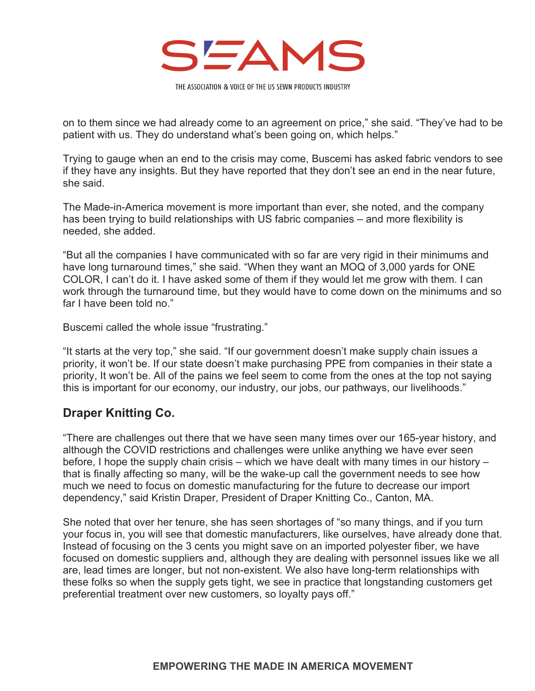

on to them since we had already come to an agreement on price," she said. "They've had to be patient with us. They do understand what's been going on, which helps."

Trying to gauge when an end to the crisis may come, Buscemi has asked fabric vendors to see if they have any insights. But they have reported that they don't see an end in the near future, she said.

The Made-in-America movement is more important than ever, she noted, and the company has been trying to build relationships with US fabric companies – and more flexibility is needed, she added.

"But all the companies I have communicated with so far are very rigid in their minimums and have long turnaround times," she said. "When they want an MOQ of 3,000 yards for ONE COLOR, I can't do it. I have asked some of them if they would let me grow with them. I can work through the turnaround time, but they would have to come down on the minimums and so far I have been told no."

Buscemi called the whole issue "frustrating."

"It starts at the very top," she said. "If our government doesn't make supply chain issues a priority, it won't be. If our state doesn't make purchasing PPE from companies in their state a priority, It won't be. All of the pains we feel seem to come from the ones at the top not saying this is important for our economy, our industry, our jobs, our pathways, our livelihoods."

### **Draper Knitting Co.**

"There are challenges out there that we have seen many times over our 165-year history, and although the COVID restrictions and challenges were unlike anything we have ever seen before, I hope the supply chain crisis – which we have dealt with many times in our history – that is finally affecting so many, will be the wake-up call the government needs to see how much we need to focus on domestic manufacturing for the future to decrease our import dependency," said Kristin Draper, President of Draper Knitting Co., Canton, MA.

She noted that over her tenure, she has seen shortages of "so many things, and if you turn your focus in, you will see that domestic manufacturers, like ourselves, have already done that. Instead of focusing on the 3 cents you might save on an imported polyester fiber, we have focused on domestic suppliers and, although they are dealing with personnel issues like we all are, lead times are longer, but not non-existent. We also have long-term relationships with these folks so when the supply gets tight, we see in practice that longstanding customers get preferential treatment over new customers, so loyalty pays off."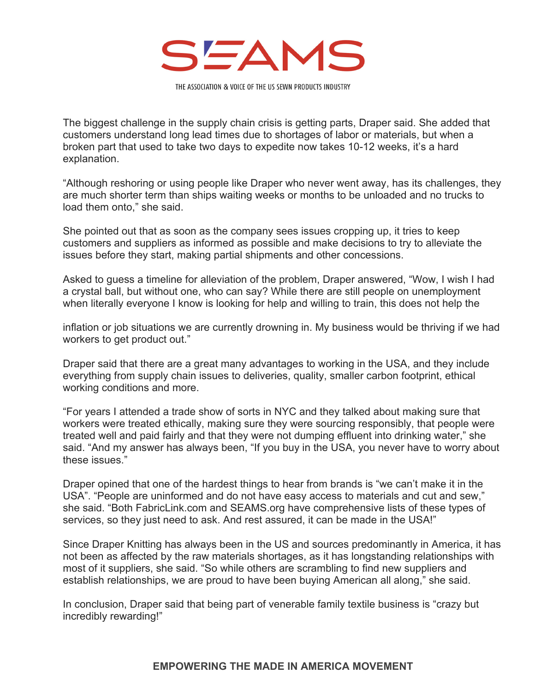

The biggest challenge in the supply chain crisis is getting parts, Draper said. She added that customers understand long lead times due to shortages of labor or materials, but when a broken part that used to take two days to expedite now takes 10-12 weeks, it's a hard explanation.

"Although reshoring or using people like Draper who never went away, has its challenges, they are much shorter term than ships waiting weeks or months to be unloaded and no trucks to load them onto," she said.

She pointed out that as soon as the company sees issues cropping up, it tries to keep customers and suppliers as informed as possible and make decisions to try to alleviate the issues before they start, making partial shipments and other concessions.

Asked to guess a timeline for alleviation of the problem, Draper answered, "Wow, I wish I had a crystal ball, but without one, who can say? While there are still people on unemployment when literally everyone I know is looking for help and willing to train, this does not help the

inflation or job situations we are currently drowning in. My business would be thriving if we had workers to get product out."

Draper said that there are a great many advantages to working in the USA, and they include everything from supply chain issues to deliveries, quality, smaller carbon footprint, ethical working conditions and more.

"For years I attended a trade show of sorts in NYC and they talked about making sure that workers were treated ethically, making sure they were sourcing responsibly, that people were treated well and paid fairly and that they were not dumping effluent into drinking water," she said. "And my answer has always been, "If you buy in the USA, you never have to worry about these issues."

Draper opined that one of the hardest things to hear from brands is "we can't make it in the USA". "People are uninformed and do not have easy access to materials and cut and sew," she said. "Both FabricLink.com and SEAMS.org have comprehensive lists of these types of services, so they just need to ask. And rest assured, it can be made in the USA!"

Since Draper Knitting has always been in the US and sources predominantly in America, it has not been as affected by the raw materials shortages, as it has longstanding relationships with most of it suppliers, she said. "So while others are scrambling to find new suppliers and establish relationships, we are proud to have been buying American all along," she said.

In conclusion, Draper said that being part of venerable family textile business is "crazy but incredibly rewarding!"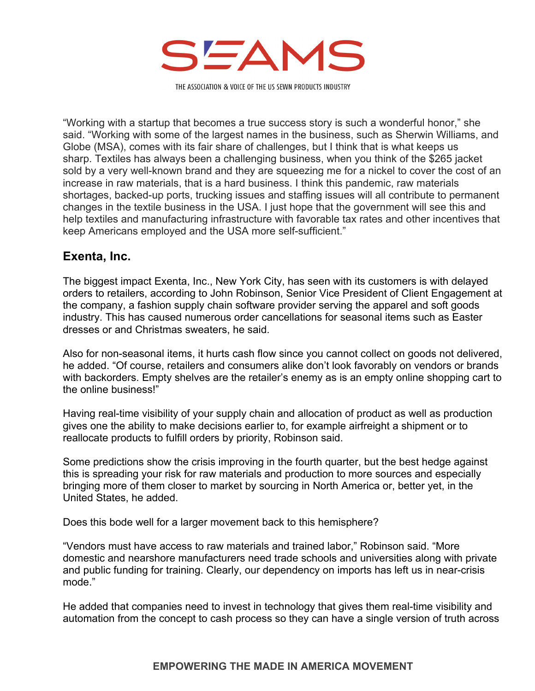

"Working with a startup that becomes a true success story is such a wonderful honor," she said. "Working with some of the largest names in the business, such as Sherwin Williams, and Globe (MSA), comes with its fair share of challenges, but I think that is what keeps us sharp. Textiles has always been a challenging business, when you think of the \$265 jacket sold by a very well-known brand and they are squeezing me for a nickel to cover the cost of an increase in raw materials, that is a hard business. I think this pandemic, raw materials shortages, backed-up ports, trucking issues and staffing issues will all contribute to permanent changes in the textile business in the USA. I just hope that the government will see this and help textiles and manufacturing infrastructure with favorable tax rates and other incentives that keep Americans employed and the USA more self-sufficient."

#### **Exenta, Inc.**

The biggest impact Exenta, Inc., New York City, has seen with its customers is with delayed orders to retailers, according to John Robinson, Senior Vice President of Client Engagement at the company, a fashion supply chain software provider serving the apparel and soft goods industry. This has caused numerous order cancellations for seasonal items such as Easter dresses or and Christmas sweaters, he said.

Also for non-seasonal items, it hurts cash flow since you cannot collect on goods not delivered, he added. "Of course, retailers and consumers alike don't look favorably on vendors or brands with backorders. Empty shelves are the retailer's enemy as is an empty online shopping cart to the online business!"

Having real-time visibility of your supply chain and allocation of product as well as production gives one the ability to make decisions earlier to, for example airfreight a shipment or to reallocate products to fulfill orders by priority, Robinson said.

Some predictions show the crisis improving in the fourth quarter, but the best hedge against this is spreading your risk for raw materials and production to more sources and especially bringing more of them closer to market by sourcing in North America or, better yet, in the United States, he added.

Does this bode well for a larger movement back to this hemisphere?

"Vendors must have access to raw materials and trained labor," Robinson said. "More domestic and nearshore manufacturers need trade schools and universities along with private and public funding for training. Clearly, our dependency on imports has left us in near-crisis mode."

He added that companies need to invest in technology that gives them real-time visibility and automation from the concept to cash process so they can have a single version of truth across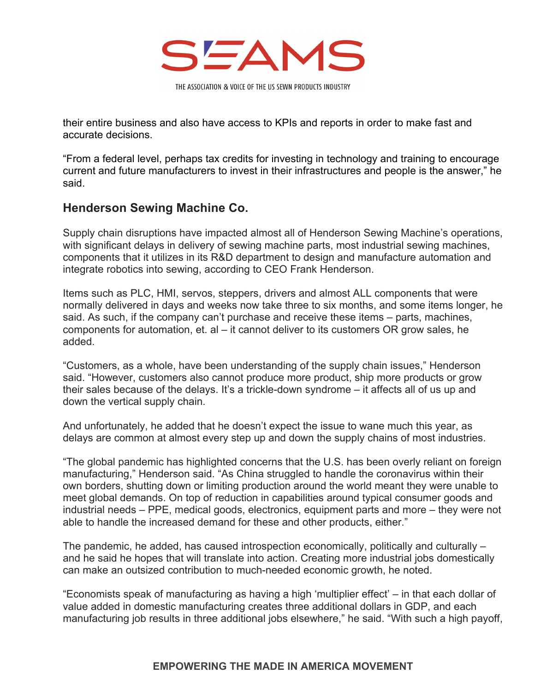

their entire business and also have access to KPIs and reports in order to make fast and accurate decisions.

"From a federal level, perhaps tax credits for investing in technology and training to encourage current and future manufacturers to invest in their infrastructures and people is the answer," he said.

## **Henderson Sewing Machine Co.**

Supply chain disruptions have impacted almost all of Henderson Sewing Machine's operations, with significant delays in delivery of sewing machine parts, most industrial sewing machines, components that it utilizes in its R&D department to design and manufacture automation and integrate robotics into sewing, according to CEO Frank Henderson.

Items such as PLC, HMI, servos, steppers, drivers and almost ALL components that were normally delivered in days and weeks now take three to six months, and some items longer, he said. As such, if the company can't purchase and receive these items – parts, machines, components for automation, et. al – it cannot deliver to its customers OR grow sales, he added.

"Customers, as a whole, have been understanding of the supply chain issues," Henderson said. "However, customers also cannot produce more product, ship more products or grow their sales because of the delays. It's a trickle-down syndrome – it affects all of us up and down the vertical supply chain.

And unfortunately, he added that he doesn't expect the issue to wane much this year, as delays are common at almost every step up and down the supply chains of most industries.

"The global pandemic has highlighted concerns that the U.S. has been overly reliant on foreign manufacturing," Henderson said. "As China struggled to handle the coronavirus within their own borders, shutting down or limiting production around the world meant they were unable to meet global demands. On top of reduction in capabilities around typical consumer goods and industrial needs – PPE, medical goods, electronics, equipment parts and more – they were not able to handle the increased demand for these and other products, either."

The pandemic, he added, has caused introspection economically, politically and culturally – and he said he hopes that will translate into action. Creating more industrial jobs domestically can make an outsized contribution to much-needed economic growth, he noted.

"Economists speak of manufacturing as having a high 'multiplier effect' – in that each dollar of value added in domestic manufacturing creates three additional dollars in GDP, and each manufacturing job results in three additional jobs elsewhere," he said. "With such a high payoff,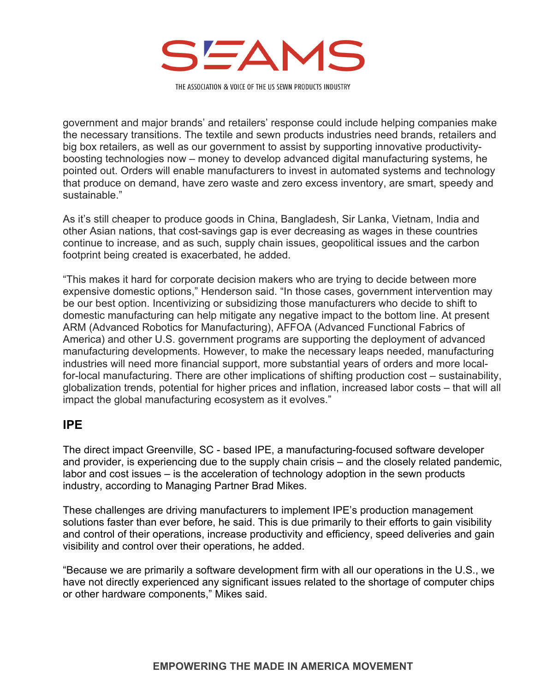

government and major brands' and retailers' response could include helping companies make the necessary transitions. The textile and sewn products industries need brands, retailers and big box retailers, as well as our government to assist by supporting innovative productivityboosting technologies now – money to develop advanced digital manufacturing systems, he pointed out. Orders will enable manufacturers to invest in automated systems and technology that produce on demand, have zero waste and zero excess inventory, are smart, speedy and sustainable."

As it's still cheaper to produce goods in China, Bangladesh, Sir Lanka, Vietnam, India and other Asian nations, that cost-savings gap is ever decreasing as wages in these countries continue to increase, and as such, supply chain issues, geopolitical issues and the carbon footprint being created is exacerbated, he added.

"This makes it hard for corporate decision makers who are trying to decide between more expensive domestic options," Henderson said. "In those cases, government intervention may be our best option. Incentivizing or subsidizing those manufacturers who decide to shift to domestic manufacturing can help mitigate any negative impact to the bottom line. At present ARM (Advanced Robotics for Manufacturing), AFFOA (Advanced Functional Fabrics of America) and other U.S. government programs are supporting the deployment of advanced manufacturing developments. However, to make the necessary leaps needed, manufacturing industries will need more financial support, more substantial years of orders and more localfor-local manufacturing. There are other implications of shifting production cost – sustainability, globalization trends, potential for higher prices and inflation, increased labor costs – that will all impact the global manufacturing ecosystem as it evolves."

#### **IPE**

The direct impact Greenville, SC - based IPE, a manufacturing-focused software developer and provider, is experiencing due to the supply chain crisis – and the closely related pandemic, labor and cost issues – is the acceleration of technology adoption in the sewn products industry, according to Managing Partner Brad Mikes.

These challenges are driving manufacturers to implement IPE's production management solutions faster than ever before, he said. This is due primarily to their efforts to gain visibility and control of their operations, increase productivity and efficiency, speed deliveries and gain visibility and control over their operations, he added.

"Because we are primarily a software development firm with all our operations in the U.S., we have not directly experienced any significant issues related to the shortage of computer chips or other hardware components," Mikes said.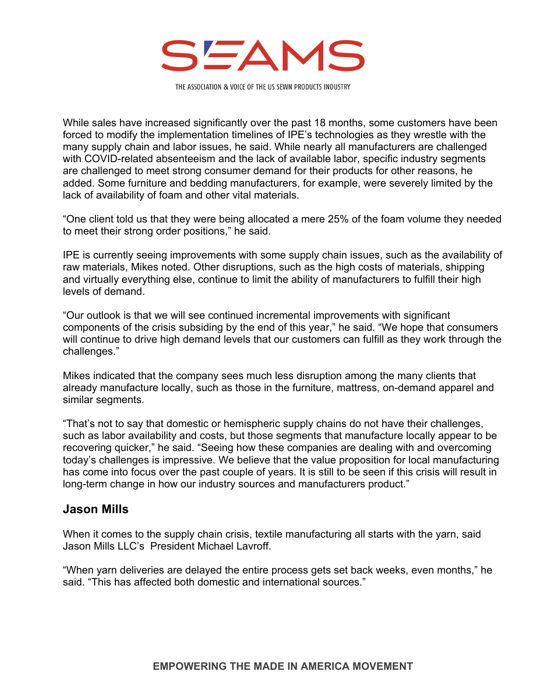

While sales have increased significantly over the past 18 months, some customers have been forced to modify the implementation timelines of IPE's technologies as they wrestle with the many supply chain and labor issues, he said. While nearly all manufacturers are challenged with COVID-related absenteeism and the lack of available labor, specific industry segments are challenged to meet strong consumer demand for their products for other reasons, he added. Some furniture and bedding manufacturers, for example, were severely limited by the lack of availability of foam and other vital materials.

"One client told us that they were being allocated a mere 25% of the foam volume they needed to meet their strong order positions," he said.

IPE is currently seeing improvements with some supply chain issues, such as the availability of raw materials, Mikes noted. Other disruptions, such as the high costs of materials, shipping and virtually everything else, continue to limit the ability of manufacturers to fulfill their high levels of demand.

"Our outlook is that we will see continued incremental improvements with significant components of the crisis subsiding by the end of this year," he said. "We hope that consumers will continue to drive high demand levels that our customers can fulfill as they work through the challenges."

Mikes indicated that the company sees much less disruption among the many clients that already manufacture locally, such as those in the furniture, mattress, on-demand apparel and similar segments.

"That's not to say that domestic or hemispheric supply chains do not have their challenges, such as labor availability and costs, but those segments that manufacture locally appear to be recovering quicker," he said. "Seeing how these companies are dealing with and overcoming today's challenges is impressive. We believe that the value proposition for local manufacturing has come into focus over the past couple of years. It is still to be seen if this crisis will result in long-term change in how our industry sources and manufacturers product."

### **Jason Mills**

When it comes to the supply chain crisis, textile manufacturing all starts with the yarn, said Jason Mills LLC's President Michael Lavroff.

"When yarn deliveries are delayed the entire process gets set back weeks, even months," he said. "This has affected both domestic and international sources."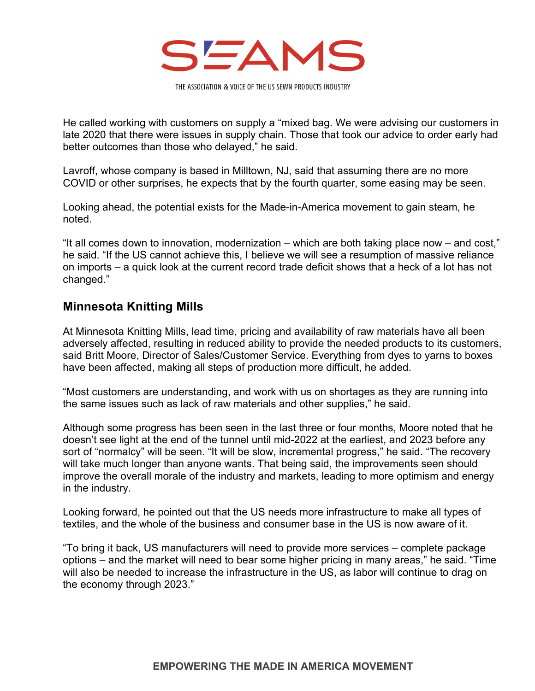

He called working with customers on supply a "mixed bag. We were advising our customers in late 2020 that there were issues in supply chain. Those that took our advice to order early had better outcomes than those who delayed," he said.

Lavroff, whose company is based in Milltown, NJ, said that assuming there are no more COVID or other surprises, he expects that by the fourth quarter, some easing may be seen.

Looking ahead, the potential exists for the Made-in-America movement to gain steam, he noted.

"It all comes down to innovation, modernization – which are both taking place now – and cost," he said. "If the US cannot achieve this, I believe we will see a resumption of massive reliance on imports – a quick look at the current record trade deficit shows that a heck of a lot has not changed."

## **Minnesota Knitting Mills**

At Minnesota Knitting Mills, lead time, pricing and availability of raw materials have all been adversely affected, resulting in reduced ability to provide the needed products to its customers, said Britt Moore, Director of Sales/Customer Service. Everything from dyes to yarns to boxes have been affected, making all steps of production more difficult, he added.

"Most customers are understanding, and work with us on shortages as they are running into the same issues such as lack of raw materials and other supplies," he said.

Although some progress has been seen in the last three or four months, Moore noted that he doesn't see light at the end of the tunnel until mid-2022 at the earliest, and 2023 before any sort of "normalcy" will be seen. "It will be slow, incremental progress," he said. "The recovery will take much longer than anyone wants. That being said, the improvements seen should improve the overall morale of the industry and markets, leading to more optimism and energy in the industry.

Looking forward, he pointed out that the US needs more infrastructure to make all types of textiles, and the whole of the business and consumer base in the US is now aware of it.

"To bring it back, US manufacturers will need to provide more services – complete package options – and the market will need to bear some higher pricing in many areas," he said. "Time will also be needed to increase the infrastructure in the US, as labor will continue to drag on the economy through 2023."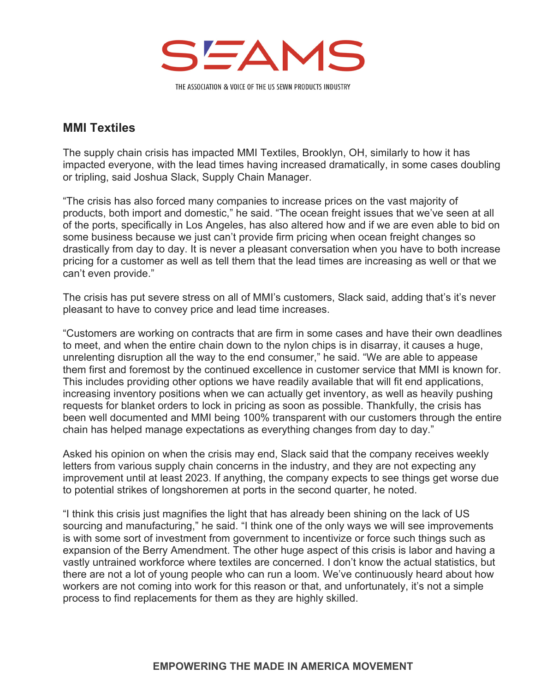

### **MMI Textiles**

The supply chain crisis has impacted MMI Textiles, Brooklyn, OH, similarly to how it has impacted everyone, with the lead times having increased dramatically, in some cases doubling or tripling, said Joshua Slack, Supply Chain Manager.

"The crisis has also forced many companies to increase prices on the vast majority of products, both import and domestic," he said. "The ocean freight issues that we've seen at all of the ports, specifically in Los Angeles, has also altered how and if we are even able to bid on some business because we just can't provide firm pricing when ocean freight changes so drastically from day to day. It is never a pleasant conversation when you have to both increase pricing for a customer as well as tell them that the lead times are increasing as well or that we can't even provide."

The crisis has put severe stress on all of MMI's customers, Slack said, adding that's it's never pleasant to have to convey price and lead time increases.

"Customers are working on contracts that are firm in some cases and have their own deadlines to meet, and when the entire chain down to the nylon chips is in disarray, it causes a huge, unrelenting disruption all the way to the end consumer," he said. "We are able to appease them first and foremost by the continued excellence in customer service that MMI is known for. This includes providing other options we have readily available that will fit end applications, increasing inventory positions when we can actually get inventory, as well as heavily pushing requests for blanket orders to lock in pricing as soon as possible. Thankfully, the crisis has been well documented and MMI being 100% transparent with our customers through the entire chain has helped manage expectations as everything changes from day to day."

Asked his opinion on when the crisis may end, Slack said that the company receives weekly letters from various supply chain concerns in the industry, and they are not expecting any improvement until at least 2023. If anything, the company expects to see things get worse due to potential strikes of longshoremen at ports in the second quarter, he noted.

"I think this crisis just magnifies the light that has already been shining on the lack of US sourcing and manufacturing," he said. "I think one of the only ways we will see improvements is with some sort of investment from government to incentivize or force such things such as expansion of the Berry Amendment. The other huge aspect of this crisis is labor and having a vastly untrained workforce where textiles are concerned. I don't know the actual statistics, but there are not a lot of young people who can run a loom. We've continuously heard about how workers are not coming into work for this reason or that, and unfortunately, it's not a simple process to find replacements for them as they are highly skilled.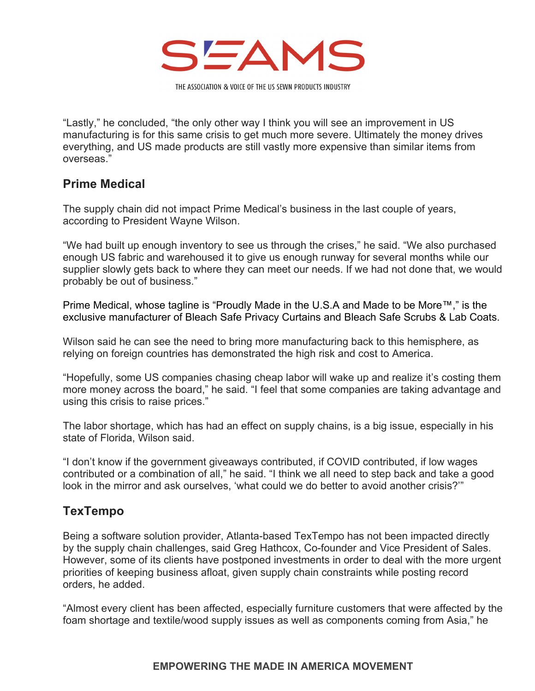

"Lastly," he concluded, "the only other way I think you will see an improvement in US manufacturing is for this same crisis to get much more severe. Ultimately the money drives everything, and US made products are still vastly more expensive than similar items from overseas."

## **Prime Medical**

The supply chain did not impact Prime Medical's business in the last couple of years, according to President Wayne Wilson.

"We had built up enough inventory to see us through the crises," he said. "We also purchased enough US fabric and warehoused it to give us enough runway for several months while our supplier slowly gets back to where they can meet our needs. If we had not done that, we would probably be out of business."

Prime Medical, whose tagline is "Proudly Made in the U.S.A and Made to be More™," is the exclusive manufacturer of Bleach Safe Privacy Curtains and Bleach Safe Scrubs & Lab Coats.

Wilson said he can see the need to bring more manufacturing back to this hemisphere, as relying on foreign countries has demonstrated the high risk and cost to America.

"Hopefully, some US companies chasing cheap labor will wake up and realize it's costing them more money across the board," he said. "I feel that some companies are taking advantage and using this crisis to raise prices."

The labor shortage, which has had an effect on supply chains, is a big issue, especially in his state of Florida, Wilson said.

"I don't know if the government giveaways contributed, if COVID contributed, if low wages contributed or a combination of all," he said. "I think we all need to step back and take a good look in the mirror and ask ourselves, 'what could we do better to avoid another crisis?'"

## **TexTempo**

Being a software solution provider, Atlanta-based TexTempo has not been impacted directly by the supply chain challenges, said Greg Hathcox, Co-founder and Vice President of Sales. However, some of its clients have postponed investments in order to deal with the more urgent priorities of keeping business afloat, given supply chain constraints while posting record orders, he added.

"Almost every client has been affected, especially furniture customers that were affected by the foam shortage and textile/wood supply issues as well as components coming from Asia," he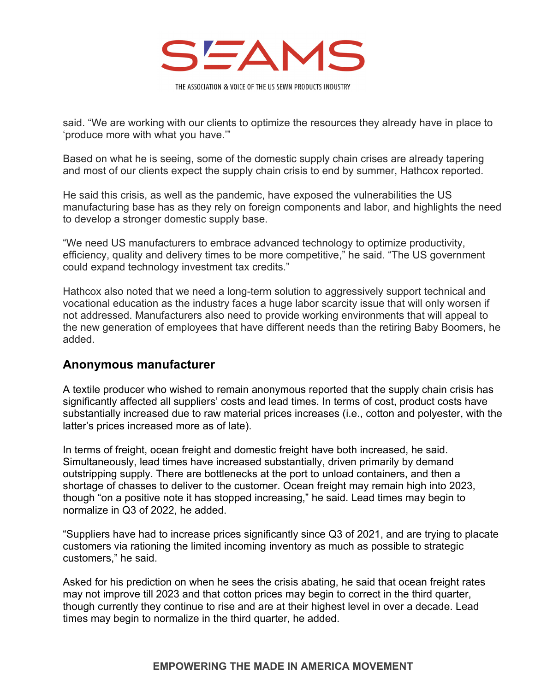

said. "We are working with our clients to optimize the resources they already have in place to 'produce more with what you have.'"

Based on what he is seeing, some of the domestic supply chain crises are already tapering and most of our clients expect the supply chain crisis to end by summer, Hathcox reported.

He said this crisis, as well as the pandemic, have exposed the vulnerabilities the US manufacturing base has as they rely on foreign components and labor, and highlights the need to develop a stronger domestic supply base.

"We need US manufacturers to embrace advanced technology to optimize productivity, efficiency, quality and delivery times to be more competitive," he said. "The US government could expand technology investment tax credits."

Hathcox also noted that we need a long-term solution to aggressively support technical and vocational education as the industry faces a huge labor scarcity issue that will only worsen if not addressed. Manufacturers also need to provide working environments that will appeal to the new generation of employees that have different needs than the retiring Baby Boomers, he added.

#### **Anonymous manufacturer**

A textile producer who wished to remain anonymous reported that the supply chain crisis has significantly affected all suppliers' costs and lead times. In terms of cost, product costs have substantially increased due to raw material prices increases (i.e., cotton and polyester, with the latter's prices increased more as of late).

In terms of freight, ocean freight and domestic freight have both increased, he said. Simultaneously, lead times have increased substantially, driven primarily by demand outstripping supply. There are bottlenecks at the port to unload containers, and then a shortage of chasses to deliver to the customer. Ocean freight may remain high into 2023, though "on a positive note it has stopped increasing," he said. Lead times may begin to normalize in Q3 of 2022, he added.

"Suppliers have had to increase prices significantly since Q3 of 2021, and are trying to placate customers via rationing the limited incoming inventory as much as possible to strategic customers," he said.

Asked for his prediction on when he sees the crisis abating, he said that ocean freight rates may not improve till 2023 and that cotton prices may begin to correct in the third quarter, though currently they continue to rise and are at their highest level in over a decade. Lead times may begin to normalize in the third quarter, he added.